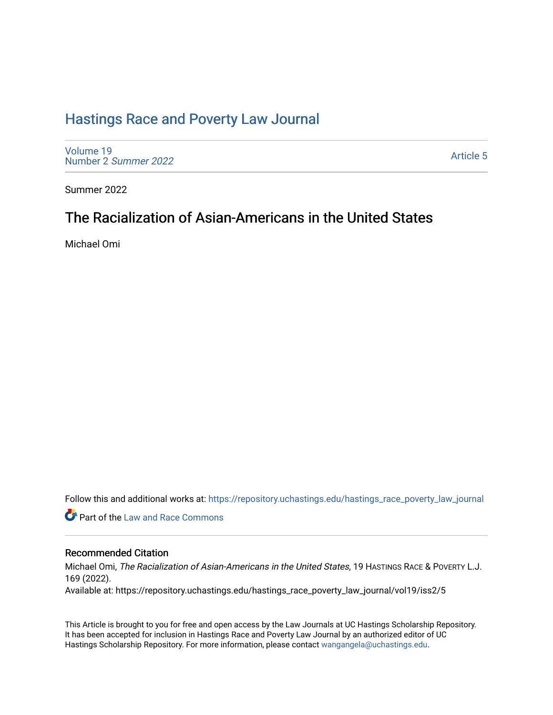## [Hastings Race and Poverty Law Journal](https://repository.uchastings.edu/hastings_race_poverty_law_journal)

[Volume 19](https://repository.uchastings.edu/hastings_race_poverty_law_journal/vol19) [Number 2](https://repository.uchastings.edu/hastings_race_poverty_law_journal/vol19/iss2) Summer 2022

[Article 5](https://repository.uchastings.edu/hastings_race_poverty_law_journal/vol19/iss2/5) 

Summer 2022

# The Racialization of Asian-Americans in the United States

Michael Omi

Follow this and additional works at: [https://repository.uchastings.edu/hastings\\_race\\_poverty\\_law\\_journal](https://repository.uchastings.edu/hastings_race_poverty_law_journal?utm_source=repository.uchastings.edu%2Fhastings_race_poverty_law_journal%2Fvol19%2Fiss2%2F5&utm_medium=PDF&utm_campaign=PDFCoverPages) 

**C** Part of the Law and Race Commons

## Recommended Citation

Michael Omi, The Racialization of Asian-Americans in the United States, 19 HASTINGS RACE & POVERTY L.J. 169 (2022).

Available at: https://repository.uchastings.edu/hastings\_race\_poverty\_law\_journal/vol19/iss2/5

This Article is brought to you for free and open access by the Law Journals at UC Hastings Scholarship Repository. It has been accepted for inclusion in Hastings Race and Poverty Law Journal by an authorized editor of UC Hastings Scholarship Repository. For more information, please contact [wangangela@uchastings.edu.](mailto:wangangela@uchastings.edu)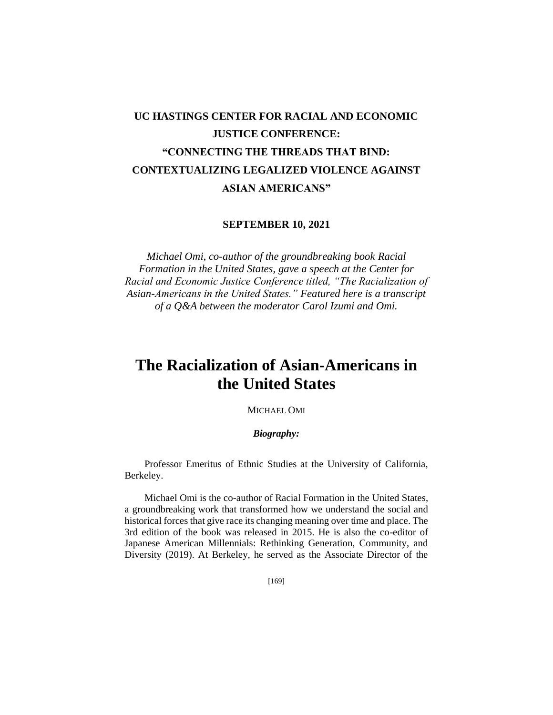# **UC HASTINGS CENTER FOR RACIAL AND ECONOMIC JUSTICE CONFERENCE: "CONNECTING THE THREADS THAT BIND: CONTEXTUALIZING LEGALIZED VIOLENCE AGAINST ASIAN AMERICANS"**

### **SEPTEMBER 10, 2021**

*Michael Omi, co-author of the groundbreaking book Racial Formation in the United States, gave a speech at the Center for Racial and Economic Justice Conference titled, "The Racialization of Asian-Americans in the United States." Featured here is a transcript of a Q&A between the moderator Carol Izumi and Omi.*

# **The Racialization of Asian-Americans in the United States**

MICHAEL OMI

### *Biography:*

Professor Emeritus of Ethnic Studies at the University of California, Berkeley.

Michael Omi is the co-author of Racial Formation in the United States, a groundbreaking work that transformed how we understand the social and historical forces that give race its changing meaning over time and place. The 3rd edition of the book was released in 2015. He is also the co-editor of Japanese American Millennials: Rethinking Generation, Community, and Diversity (2019). At Berkeley, he served as the Associate Director of the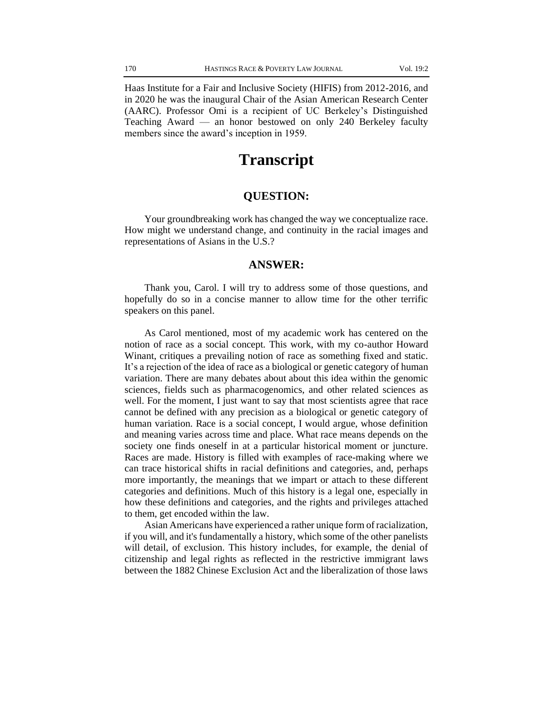Haas Institute for a Fair and Inclusive Society (HIFIS) from 2012-2016, and in 2020 he was the inaugural Chair of the Asian American Research Center (AARC). Professor Omi is a recipient of UC Berkeley's Distinguished Teaching Award — an honor bestowed on only 240 Berkeley faculty members since the award's inception in 1959.

## **Transcript**

## **QUESTION:**

Your groundbreaking work has changed the way we conceptualize race. How might we understand change, and continuity in the racial images and representations of Asians in the U.S.?

## **ANSWER:**

Thank you, Carol. I will try to address some of those questions, and hopefully do so in a concise manner to allow time for the other terrific speakers on this panel.

As Carol mentioned, most of my academic work has centered on the notion of race as a social concept. This work, with my co-author Howard Winant, critiques a prevailing notion of race as something fixed and static. It's a rejection of the idea of race as a biological or genetic category of human variation. There are many debates about about this idea within the genomic sciences, fields such as pharmacogenomics, and other related sciences as well. For the moment, I just want to say that most scientists agree that race cannot be defined with any precision as a biological or genetic category of human variation. Race is a social concept, I would argue, whose definition and meaning varies across time and place. What race means depends on the society one finds oneself in at a particular historical moment or juncture. Races are made. History is filled with examples of race-making where we can trace historical shifts in racial definitions and categories, and, perhaps more importantly, the meanings that we impart or attach to these different categories and definitions. Much of this history is a legal one, especially in how these definitions and categories, and the rights and privileges attached to them, get encoded within the law.

Asian Americans have experienced a rather unique form of racialization, if you will, and it's fundamentally a history, which some of the other panelists will detail, of exclusion. This history includes, for example, the denial of citizenship and legal rights as reflected in the restrictive immigrant laws between the 1882 Chinese Exclusion Act and the liberalization of those laws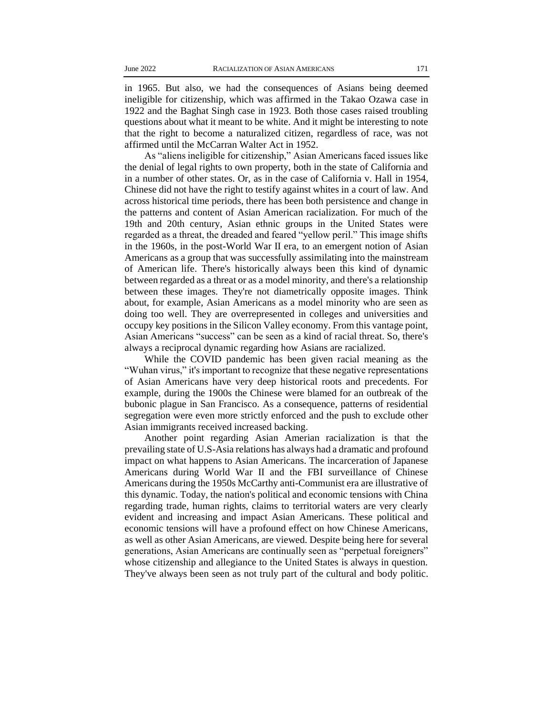in 1965. But also, we had the consequences of Asians being deemed ineligible for citizenship, which was affirmed in the Takao Ozawa case in 1922 and the Baghat Singh case in 1923. Both those cases raised troubling questions about what it meant to be white. And it might be interesting to note that the right to become a naturalized citizen, regardless of race, was not affirmed until the McCarran Walter Act in 1952.

As "aliens ineligible for citizenship," Asian Americans faced issues like the denial of legal rights to own property, both in the state of California and in a number of other states. Or, as in the case of California v. Hall in 1954, Chinese did not have the right to testify against whites in a court of law. And across historical time periods, there has been both persistence and change in the patterns and content of Asian American racialization. For much of the 19th and 20th century, Asian ethnic groups in the United States were regarded as a threat, the dreaded and feared "yellow peril." This image shifts in the 1960s, in the post-World War II era, to an emergent notion of Asian Americans as a group that was successfully assimilating into the mainstream of American life. There's historically always been this kind of dynamic between regarded as a threat or as a model minority, and there's a relationship between these images. They're not diametrically opposite images. Think about, for example, Asian Americans as a model minority who are seen as doing too well. They are overrepresented in colleges and universities and occupy key positions in the Silicon Valley economy. From this vantage point, Asian Americans "success" can be seen as a kind of racial threat. So, there's always a reciprocal dynamic regarding how Asians are racialized.

While the COVID pandemic has been given racial meaning as the "Wuhan virus," it's important to recognize that these negative representations of Asian Americans have very deep historical roots and precedents. For example, during the 1900s the Chinese were blamed for an outbreak of the bubonic plague in San Francisco. As a consequence, patterns of residential segregation were even more strictly enforced and the push to exclude other Asian immigrants received increased backing.

Another point regarding Asian Amerian racialization is that the prevailing state of U.S-Asia relations has always had a dramatic and profound impact on what happens to Asian Americans. The incarceration of Japanese Americans during World War II and the FBI surveillance of Chinese Americans during the 1950s McCarthy anti-Communist era are illustrative of this dynamic. Today, the nation's political and economic tensions with China regarding trade, human rights, claims to territorial waters are very clearly evident and increasing and impact Asian Americans. These political and economic tensions will have a profound effect on how Chinese Americans, as well as other Asian Americans, are viewed. Despite being here for several generations, Asian Americans are continually seen as "perpetual foreigners" whose citizenship and allegiance to the United States is always in question. They've always been seen as not truly part of the cultural and body politic.